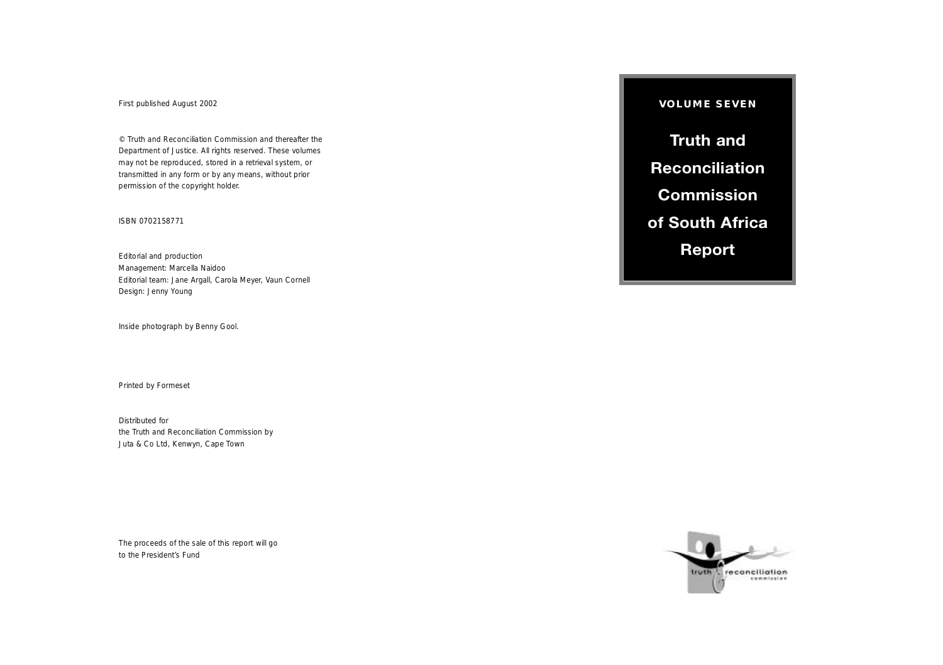First published August 2002

© Truth and Reconciliation Commission and thereafter the Department of Justice. All rights reserved. These volumes may not be reproduced, stored in a retrieval system, or transmitted in any form or by any means, without prior permission of the copyright holder.

#### ISBN 0702158771

Editorial and production Management: Marcella Naidoo Editorial team: Jane Argall, Carola Meyer, Vaun Cornell Design: Jenny Young

Inside photograph by Benny Gool.

Printed by Formeset

Distributed for the Truth and Reconciliation Commission by Juta & Co Ltd, Kenwyn, Cape Town

The proceeds of the sale of this report will go to the President's Fund

**VOLUME SEVEN** 

**Truth and Reconciliation Commission of South Africa Report** 

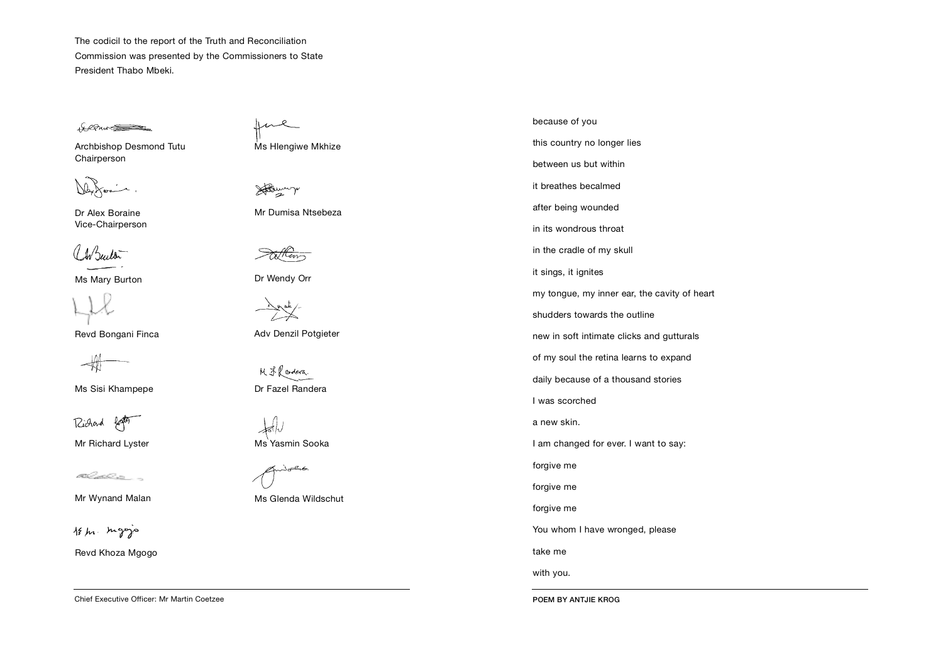The codicil to the report of the Truth and Reconciliation Commission was presented by the Commissioners to State President Thabo Mbeki.

the Pure

Archbishop Desmond Tutu Chairperson

Dr Alex Boraine Vice-Chairperson

LABuildin

Ms Mary Burton

Revd Bongani Finca

Ms Sisi Khampepe

Richard for

Mr Richard Lyster

t Catholica -

Mr Wynand Malan



Revd Khoza Mgogo

Chief Executive Officer: Mr Martin Coetzee

me

Ms Hlengiwe Mkhize

However

Mr Dumisa Ntsebeza

Dr Wendy Orr

de un auto

Adv Denzil Potgieter

M F. Randera. Dr Fazel Randera



Ms Yasmin Sooka

يمكحكن

Ms Glenda Wildschut

because of you this country no longer lies between us but within it breathes becalmed after being wounded in its wondrous throat in the cradle of my skull it sings, it ignites my tongue, my inner ear, the cavity of heart shudders towards the outline new in soft intimate clicks and gutturals of my soul the retina learns to expand daily because of a thousand stories I was scorched a new skin. I am changed for ever. I want to say: forgive me forgive me forgive me You whom I have wronged, please take me

with you.

POEM BY ANTJIE KROG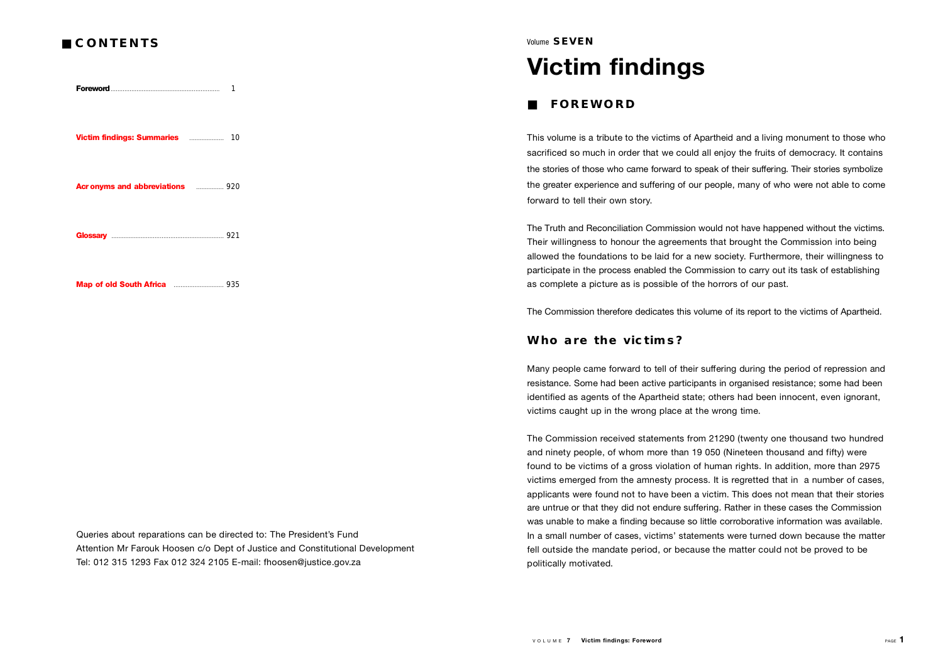## ■ **C O N T E N T S**

**Foreword** 

**Victim findings: Summaries** . . . . . . . . . . . . . . . . . . . . 1 0

**Acronvms and abbreviations** . . . . . . . . . 920

**G l o s s a r y** . . . . . . . . . . . . . . . . . . . . . . . . . . . . . . . . . . . . . . . . . . . . . . . . . . . . . . . . . . . . . . . . . 9 2 1

**Map of old South Africa** . . . . . . . . . . . . . . . . . . . . . . . . . . . . . 9 3 5

Queries about reparations can be directed to: The President's Fund Attention Mr Farouk Hoosen c/o Dept of Justice and Constitutional Development Tel: 012 315 1293 Fax 012 324 2105 E-mail: fhoosen@justice.gov.za

#### Volume **SEVEN**

# **Victim findings**

#### ■ **FOREWORD**

This volume is a tribute to the victims of Apartheid and a living monument to those who sacrificed so much in order that we could all enjoy the fruits of democracy. It contains the stories of those who came forward to speak of their suffering. Their stories symbolize the greater experience and suffering of our people, many of who were not able to come forward to tell their own story.

The Truth and Reconciliation Commission would not have happened without the victims. Their willingness to honour the agreements that brought the Commission into being allowed the foundations to be laid for a new society. Furthermore, their willingness to participate in the process enabled the Commission to carry out its task of establishing as complete a picture as is possible of the horrors of our past.

The Commission therefore dedicates this volume of its report to the victims of Apartheid.

#### **Who are the victims?**

Many people came forward to tell of their suffering during the period of repression and resistance. Some had been active participants in organised resistance; some had been identified as agents of the Apartheid state; others had been innocent, even ignorant, victims caught up in the wrong place at the wrong time.

The Commission received statements from 21290 (twenty one thousand two hundred and ninety people, of whom more than 19 050 (Nineteen thousand and fifty) were found to be victims of a gross violation of human rights. In addition, more than 2975 victims emerged from the amnesty process. It is regretted that in a number of cases, applicants were found not to have been a victim. This does not mean that their stories are untrue or that they did not endure suffering. Rather in these cases the Commission was unable to make a finding because so little corroborative information was available. In a small number of cases, victims' statements were turned down because the matter fell outside the mandate period, or because the matter could not be proved to be politically motivated.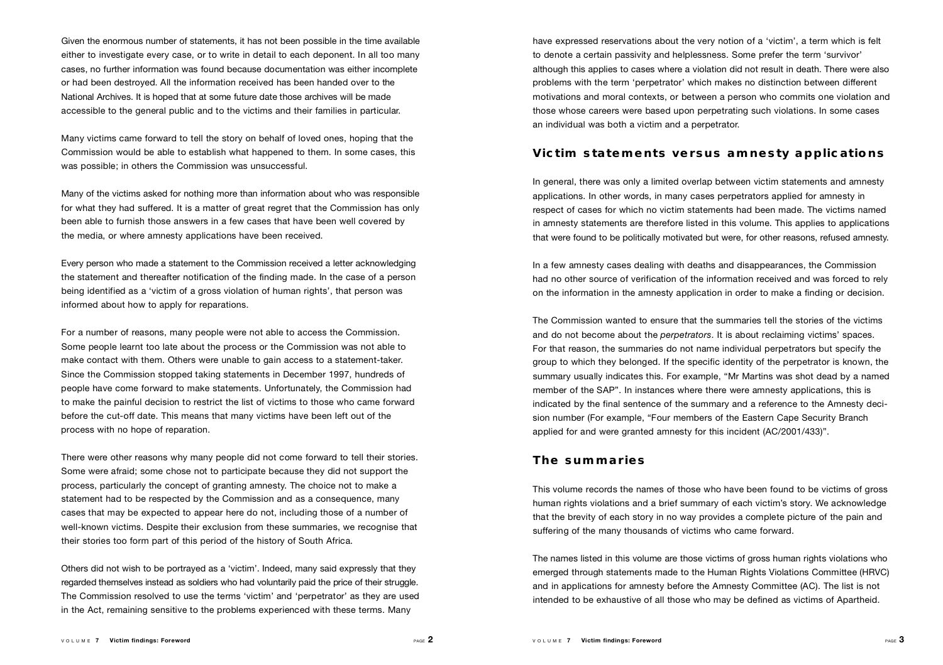Given the enormous number of statements, it has not been possible in the time available either to investigate every case, or to write in detail to each deponent. In all too many cases, no further information was found because documentation was either incomplete or had been destroyed. All the information received has been handed over to the National Archives. It is hoped that at some future date those archives will be made accessible to the general public and to the victims and their families in particular.

Many victims came forward to tell the story on behalf of loved ones, hoping that the Commission would be able to establish what happened to them. In some cases, this was possible; in others the Commission was unsuccessful.

Many of the victims asked for nothing more than information about who was responsible for what they had suffered. It is a matter of great regret that the Commission has only been able to furnish those answers in a few cases that have been well covered by the media, or where amnesty applications have been received.

Every person who made a statement to the Commission received a letter acknowledging the statement and thereafter notification of the finding made. In the case of a person being identified as a 'victim of a gross violation of human rights', that person was informed about how to apply for reparations.

For a number of reasons, many people were not able to access the Commission. Some people learnt too late about the process or the Commission was not able to make contact with them. Others were unable to gain access to a statement-taker. Since the Commission stopped taking statements in December 1997, hundreds of people have come forward to make statements. Unfortunately, the Commission had to make the painful decision to restrict the list of victims to those who came forward before the cut-off date. This means that many victims have been left out of the process with no hope of reparation.

There were other reasons why many people did not come forward to tell their stories. Some were afraid; some chose not to participate because they did not support the p rocess, particularly the concept of granting amnesty. The choice not to make a statement had to be respected by the Commission and as a consequence, many cases that may be expected to appear here do not, including those of a number of well-known victims. Despite their exclusion from these summaries, we recognise that their stories too form part of this period of the history of South Africa.

Others did not wish to be portrayed as a 'victim'. Indeed, many said expressly that they regarded themselves instead as soldiers who had voluntarily paid the price of their struggle. The Commission resolved to use the terms 'victim' and 'perpetrator' as they are used in the Act, remaining sensitive to the problems experienced with these terms. Many

have expressed reservations about the very notion of a 'victim', a term which is felt to denote a certain passivity and helplessness. Some prefer the term 'survivor' although this applies to cases where a violation did not result in death. There were also problems with the term 'perpetrator' which makes no distinction between different motivations and moral contexts, or between a person who commits one violation and those whose careers were based upon perpetrating such violations. In some cases an individual was both a victim and a perpetrator.

#### **Victim statements versus amnesty applications**

In general, there was only a limited overlap between victim statements and amnesty applications. In other words, in many cases perpetrators applied for amnesty in respect of cases for which no victim statements had been made. The victims named in amnesty statements are therefore listed in this volume. This applies to applications that were found to be politically motivated but were, for other reasons, refused amnesty.

In a few amnesty cases dealing with deaths and disappearances, the Commission had no other source of verification of the information received and was forced to rely on the information in the amnesty application in order to make a finding or decision.

The Commission wanted to ensure that the summaries tell the stories of the victims and do not become about the *perpetrators*. It is about reclaiming victims' spaces. For that reason, the summaries do not name individual perpetrators but specify the g roup to which they belonged. If the specific identity of the perpetrator is known, the summary usually indicates this. For example, "Mr Martins was shot dead by a named member of the SAP". In instances where there were amnesty applications, this is indicated by the final sentence of the summary and a reference to the Amnesty decision number (For example, "Four members of the Eastern Cape Security Branch applied for and were granted amnesty for this incident (AC/2001/433)".

#### **The summaries**

This volume records the names of those who have been found to be victims of gross human rights violations and a brief summary of each victim's story. We acknowledge that the brevity of each story in no way provides a complete picture of the pain and suffering of the many thousands of victims who came forward.

The names listed in this volume are those victims of gross human rights violations who emerged through statements made to the Human Rights Violations Committee (HRVC) and in applications for amnesty before the Amnesty Committee (AC). The list is not intended to be exhaustive of all those who may be defined as victims of Apartheid.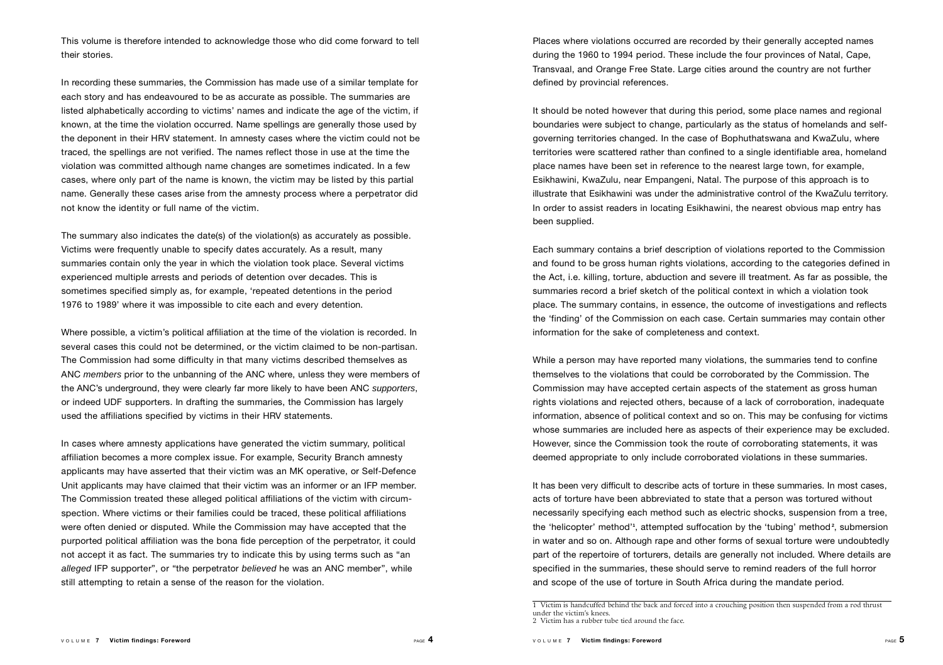This volume is therefore intended to acknowledge those who did come forward to tell their stories.

In recording these summaries, the Commission has made use of a similar template for each story and has endeavoured to be as accurate as possible. The summaries are listed alphabetically according to victims' names and indicate the age of the victim, if known, at the time the violation occurred. Name spellings are generally those used by the deponent in their HRV statement. In amnesty cases where the victim could not be traced, the spellings are not verified. The names reflect those in use at the time the violation was committed although name changes are sometimes indicated. In a few cases, where only part of the name is known, the victim may be listed by this partial name. Generally these cases arise from the amnesty process where a perpetrator did not know the identity or full name of the victim.

The summary also indicates the date(s) of the violation(s) as accurately as possible. Victims were frequently unable to specify dates accurately. As a result, many summaries contain only the year in which the violation took place. Several victims experienced multiple arrests and periods of detention over decades. This is sometimes specified simply as, for example, 'repeated detentions in the period 1976 to 1989' where it was impossible to cite each and every detention.

Where possible, a victim's political affiliation at the time of the violation is recorded. In several cases this could not be determined, or the victim claimed to be non-partisan. The Commission had some difficulty in that many victims described themselves as ANC *members* prior to the unbanning of the ANC where, unless they were members of the ANC's underground, they were clearly far more likely to have been ANC *supporters*, or indeed UDF supporters. In drafting the summaries, the Commission has largely used the affiliations specified by victims in their HRV statements.

In cases where amnesty applications have generated the victim summary, political a ffiliation becomes a more complex issue. For example, Security Branch amnesty applicants may have asserted that their victim was an MK operative, or Self-Defence Unit applicants may have claimed that their victim was an informer or an IFP member. The Commission treated these alleged political affiliations of the victim with circumspection. Where victims or their families could be traced, these political affiliations were often denied or disputed. While the Commission may have accepted that the purported political affiliation was the bona fide perception of the perpetrator, it could not accept it as fact. The summaries try to indicate this by using terms such as "an *alleged* IFP supporter", or "the perpetrator *believed* he was an ANC member", while still attempting to retain a sense of the reason for the violation.

Places where violations occurred are recorded by their generally accepted names during the 1960 to 1994 period. These include the four provinces of Natal, Cape, Transvaal, and Orange Free State. Large cities around the country are not further defined by provincial references.

It should be noted however that during this period, some place names and regional boundaries were subject to change, particularly as the status of homelands and selfgoverning territories changed. In the case of Bophuthatswana and KwaZulu, where territories were scattered rather than confined to a single identifiable area, homeland place names have been set in reference to the nearest large town, for example, Esikhawini, KwaZulu, near Empangeni, Natal. The purpose of this approach is to illustrate that Esikhawini was under the administrative control of the KwaZulu territory. In order to assist readers in locating Esikhawini, the nearest obvious map entry has been supplied.

Each summary contains a brief description of violations reported to the Commission and found to be gross human rights violations, according to the categories defined in the Act, i.e. killing, torture, abduction and severe ill treatment. As far as possible, the summaries record a brief sketch of the political context in which a violation took place. The summary contains, in essence, the outcome of investigations and reflects the 'finding' of the Commission on each case. Certain summaries may contain other information for the sake of completeness and context.

While a person may have reported many violations, the summaries tend to confine themselves to the violations that could be corroborated by the Commission. The Commission may have accepted certain aspects of the statement as gross human rights violations and rejected others, because of a lack of corroboration, inadequate information, absence of political context and so on. This may be confusing for victims whose summaries are included here as aspects of their experience may be excluded. However, since the Commission took the route of corroborating statements, it was deemed appropriate to only include corroborated violations in these summaries.

It has been very difficult to describe acts of torture in these summaries. In most cases, acts of torture have been abbreviated to state that a person was tortured without necessarily specifying each method such as electric shocks, suspension from a tree, the 'helicopter' method'**<sup>1</sup>** , attempted suffocation by the 'tubing' method**<sup>2</sup>** , submersion in water and so on. Although rape and other forms of sexual torture were undoubtedly part of the repertoire of torturers, details are generally not included. Where details are specified in the summaries, these should serve to remind readers of the full horror and scope of the use of torture in South Africa during the mandate period.

<sup>1</sup> Victim is handcuffed behind the back and forced into a crouching position then suspended from a rod thrust under the victim's knees. 2 Victim has a rubber tube tied around the face.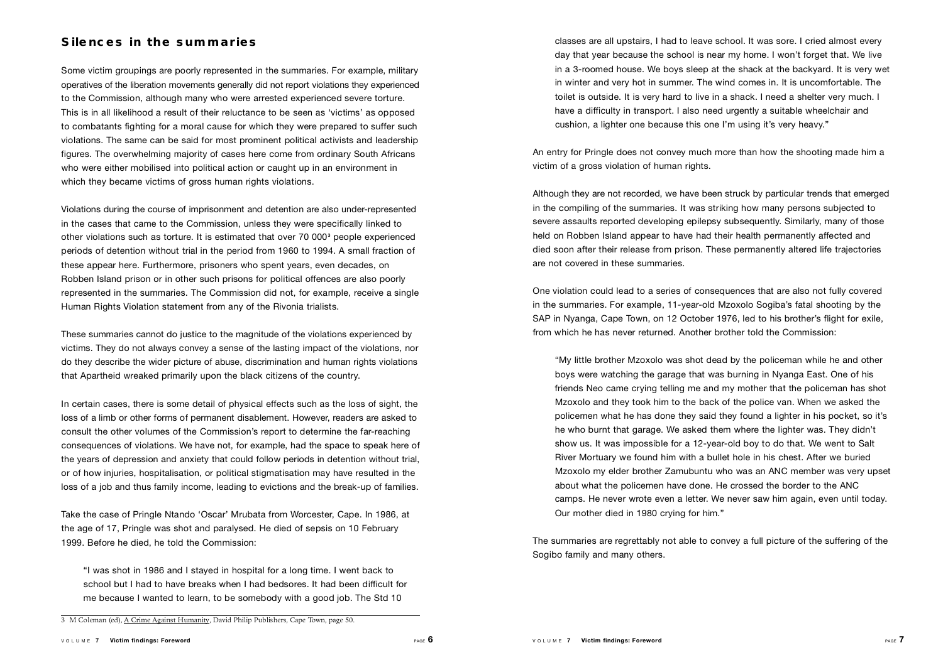### **Silences in the summaries**

Some victim groupings are poorly represented in the summaries. For example, military operatives of the liberation movements generally did not report violations they experienced to the Commission, although many who were arrested experienced severe torture . This is in all likelihood a result of their reluctance to be seen as 'victims' as opposed to combatants fighting for a moral cause for which they were prepared to suffer such violations. The same can be said for most prominent political activists and leadership figures. The overwhelming majority of cases here come from ordinary South Africans who were either mobilised into political action or caught up in an environment in which they became victims of gross human rights violations.

Violations during the course of imprisonment and detention are also under-represented in the cases that came to the Commission, unless they were specifically linked to other violations such as torture. It is estimated that over 70 000**<sup>3</sup>** people experienced periods of detention without trial in the period from 1960 to 1994. A small fraction of these appear here. Furthermore, prisoners who spent years, even decades, on Robben Island prison or in other such prisons for political offences are also poorly represented in the summaries. The Commission did not, for example, receive a single Human Rights Violation statement from any of the Rivonia trialists.

These summaries cannot do justice to the magnitude of the violations experienced by victims. They do not always convey a sense of the lasting impact of the violations, nor do they describe the wider picture of abuse, discrimination and human rights violations that Apartheid wreaked primarily upon the black citizens of the country.

In certain cases, there is some detail of physical effects such as the loss of sight, the loss of a limb or other forms of permanent disablement. However, readers are asked to consult the other volumes of the Commission's report to determine the far-reaching consequences of violations. We have not, for example, had the space to speak here of the years of depression and anxiety that could follow periods in detention without trial, or of how injuries, hospitalisation, or political stigmatisation may have resulted in the loss of a job and thus family income, leading to evictions and the break-up of families.

Take the case of Pringle Ntando 'Oscar' Mrubata from Worcester, Cape. In 1986, at the age of 17, Pringle was shot and paralysed. He died of sepsis on 10 February 1999. Before he died, he told the Commission:

"I was shot in 1986 and I stayed in hospital for a long time. I went back to school but I had to have breaks when I had bedsores. It had been difficult for me because I wanted to learn, to be somebody with a good job. The Std 10

classes are all upstairs, I had to leave school. It was sore. I cried almost every day that year because the school is near my home. I won't forget that. We live in a 3-roomed house. We boys sleep at the shack at the backyard. It is very wet in winter and very hot in summer. The wind comes in. It is uncomfortable. The toilet is outside. It is very hard to live in a shack. I need a shelter very much. I have a difficulty in transport. I also need urgently a suitable wheelchair and cushion, a lighter one because this one I'm using it's very heavy."

An entry for Pringle does not convey much more than how the shooting made him a victim of a gross violation of human rights.

Although they are not recorded, we have been struck by particular trends that emerged in the compiling of the summaries. It was striking how many persons subjected to severe assaults reported developing epilepsy subsequently. Similarly, many of those held on Robben Island appear to have had their health permanently affected and died soon after their release from prison. These permanently altered life trajectories are not covered in these summaries.

One violation could lead to a series of consequences that are also not fully covere d in the summaries. For example, 11-year-old Mzoxolo Sogiba's fatal shooting by the SAP in Nyanga, Cape Town, on 12 October 1976, led to his brother's flight for exile, from which he has never returned. Another brother told the Commission:

"My little brother Mzoxolo was shot dead by the policeman while he and other boys were watching the garage that was burning in Nyanga East. One of his friends Neo came crying telling me and my mother that the policeman has shot Mzoxolo and they took him to the back of the police van. When we asked the policemen what he has done they said they found a lighter in his pocket, so it's he who burnt that garage. We asked them where the lighter was. They didn't show us. It was impossible for a 12-year-old boy to do that. We went to Salt River Mortuary we found him with a bullet hole in his chest. After we buried Mzoxolo my elder brother Zamubuntu who was an ANC member was very upset about what the policemen have done. He crossed the border to the ANC camps. He never wrote even a letter. We never saw him again, even until today. Our mother died in 1980 crying for him."

The summaries are regrettably not able to convey a full picture of the suffering of the Sogibo family and many others.

<sup>3</sup> M Coleman (ed), A Crime Against Humanity, David Philip Publishers, Cape Town, page 50.